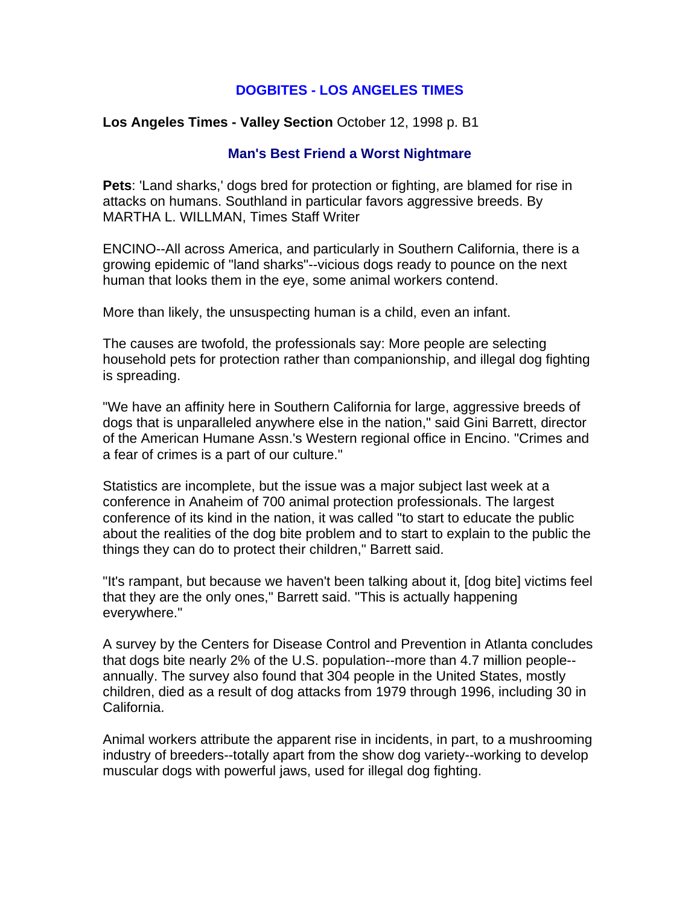# **DOGBITES - LOS ANGELES TIMES**

### **Los Angeles Times - Valley Section** October 12, 1998 p. B1

#### **Man's Best Friend a Worst Nightmare**

**Pets**: 'Land sharks,' dogs bred for protection or fighting, are blamed for rise in attacks on humans. Southland in particular favors aggressive breeds. By MARTHA L. WILLMAN, Times Staff Writer

ENCINO--All across America, and particularly in Southern California, there is a growing epidemic of "land sharks"--vicious dogs ready to pounce on the next human that looks them in the eye, some animal workers contend.

More than likely, the unsuspecting human is a child, even an infant.

The causes are twofold, the professionals say: More people are selecting household pets for protection rather than companionship, and illegal dog fighting is spreading.

"We have an affinity here in Southern California for large, aggressive breeds of dogs that is unparalleled anywhere else in the nation," said Gini Barrett, director of the American Humane Assn.'s Western regional office in Encino. "Crimes and a fear of crimes is a part of our culture."

Statistics are incomplete, but the issue was a major subject last week at a conference in Anaheim of 700 animal protection professionals. The largest conference of its kind in the nation, it was called "to start to educate the public about the realities of the dog bite problem and to start to explain to the public the things they can do to protect their children," Barrett said.

"It's rampant, but because we haven't been talking about it, [dog bite] victims feel that they are the only ones," Barrett said. "This is actually happening everywhere."

A survey by the Centers for Disease Control and Prevention in Atlanta concludes that dogs bite nearly 2% of the U.S. population--more than 4.7 million people- annually. The survey also found that 304 people in the United States, mostly children, died as a result of dog attacks from 1979 through 1996, including 30 in California.

Animal workers attribute the apparent rise in incidents, in part, to a mushrooming industry of breeders--totally apart from the show dog variety--working to develop muscular dogs with powerful jaws, used for illegal dog fighting.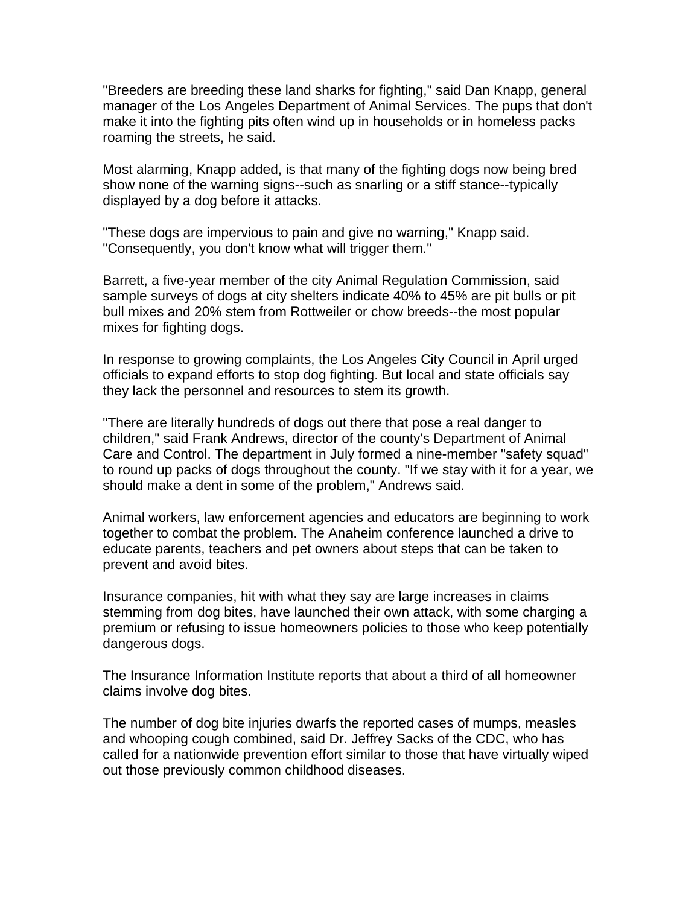"Breeders are breeding these land sharks for fighting," said Dan Knapp, general manager of the Los Angeles Department of Animal Services. The pups that don't make it into the fighting pits often wind up in households or in homeless packs roaming the streets, he said.

Most alarming, Knapp added, is that many of the fighting dogs now being bred show none of the warning signs--such as snarling or a stiff stance--typically displayed by a dog before it attacks.

"These dogs are impervious to pain and give no warning," Knapp said. "Consequently, you don't know what will trigger them."

Barrett, a five-year member of the city Animal Regulation Commission, said sample surveys of dogs at city shelters indicate 40% to 45% are pit bulls or pit bull mixes and 20% stem from Rottweiler or chow breeds--the most popular mixes for fighting dogs.

In response to growing complaints, the Los Angeles City Council in April urged officials to expand efforts to stop dog fighting. But local and state officials say they lack the personnel and resources to stem its growth.

"There are literally hundreds of dogs out there that pose a real danger to children," said Frank Andrews, director of the county's Department of Animal Care and Control. The department in July formed a nine-member "safety squad" to round up packs of dogs throughout the county. "If we stay with it for a year, we should make a dent in some of the problem," Andrews said.

Animal workers, law enforcement agencies and educators are beginning to work together to combat the problem. The Anaheim conference launched a drive to educate parents, teachers and pet owners about steps that can be taken to prevent and avoid bites.

Insurance companies, hit with what they say are large increases in claims stemming from dog bites, have launched their own attack, with some charging a premium or refusing to issue homeowners policies to those who keep potentially dangerous dogs.

The Insurance Information Institute reports that about a third of all homeowner claims involve dog bites.

The number of dog bite injuries dwarfs the reported cases of mumps, measles and whooping cough combined, said Dr. Jeffrey Sacks of the CDC, who has called for a nationwide prevention effort similar to those that have virtually wiped out those previously common childhood diseases.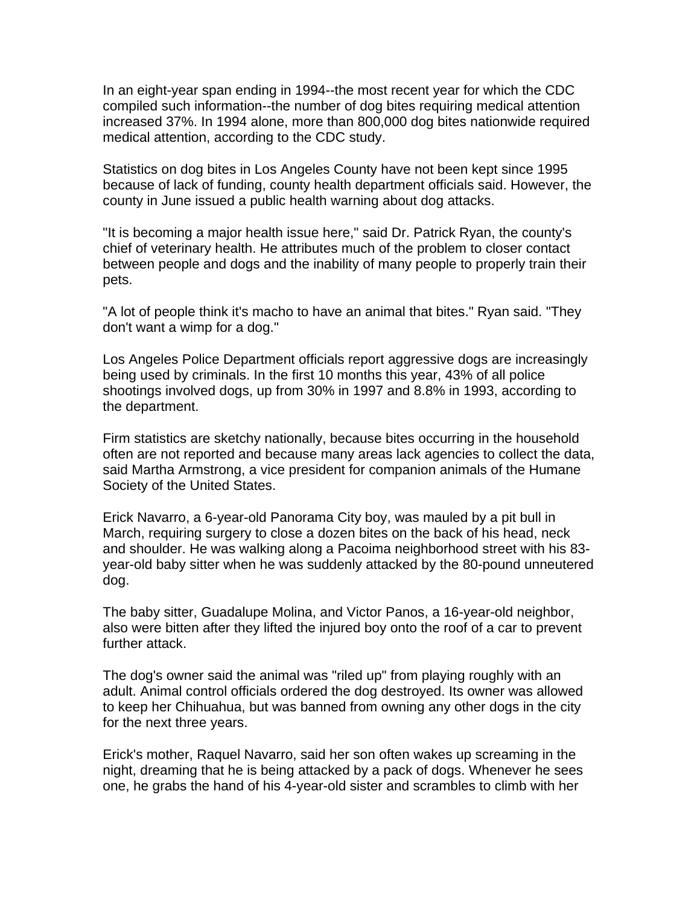In an eight-year span ending in 1994--the most recent year for which the CDC compiled such information--the number of dog bites requiring medical attention increased 37%. In 1994 alone, more than 800,000 dog bites nationwide required medical attention, according to the CDC study.

Statistics on dog bites in Los Angeles County have not been kept since 1995 because of lack of funding, county health department officials said. However, the county in June issued a public health warning about dog attacks.

"It is becoming a major health issue here," said Dr. Patrick Ryan, the county's chief of veterinary health. He attributes much of the problem to closer contact between people and dogs and the inability of many people to properly train their pets.

"A lot of people think it's macho to have an animal that bites." Ryan said. "They don't want a wimp for a dog."

Los Angeles Police Department officials report aggressive dogs are increasingly being used by criminals. In the first 10 months this year, 43% of all police shootings involved dogs, up from 30% in 1997 and 8.8% in 1993, according to the department.

Firm statistics are sketchy nationally, because bites occurring in the household often are not reported and because many areas lack agencies to collect the data, said Martha Armstrong, a vice president for companion animals of the Humane Society of the United States.

Erick Navarro, a 6-year-old Panorama City boy, was mauled by a pit bull in March, requiring surgery to close a dozen bites on the back of his head, neck and shoulder. He was walking along a Pacoima neighborhood street with his 83 year-old baby sitter when he was suddenly attacked by the 80-pound unneutered dog.

The baby sitter, Guadalupe Molina, and Victor Panos, a 16-year-old neighbor, also were bitten after they lifted the injured boy onto the roof of a car to prevent further attack.

The dog's owner said the animal was "riled up" from playing roughly with an adult. Animal control officials ordered the dog destroyed. Its owner was allowed to keep her Chihuahua, but was banned from owning any other dogs in the city for the next three years.

Erick's mother, Raquel Navarro, said her son often wakes up screaming in the night, dreaming that he is being attacked by a pack of dogs. Whenever he sees one, he grabs the hand of his 4-year-old sister and scrambles to climb with her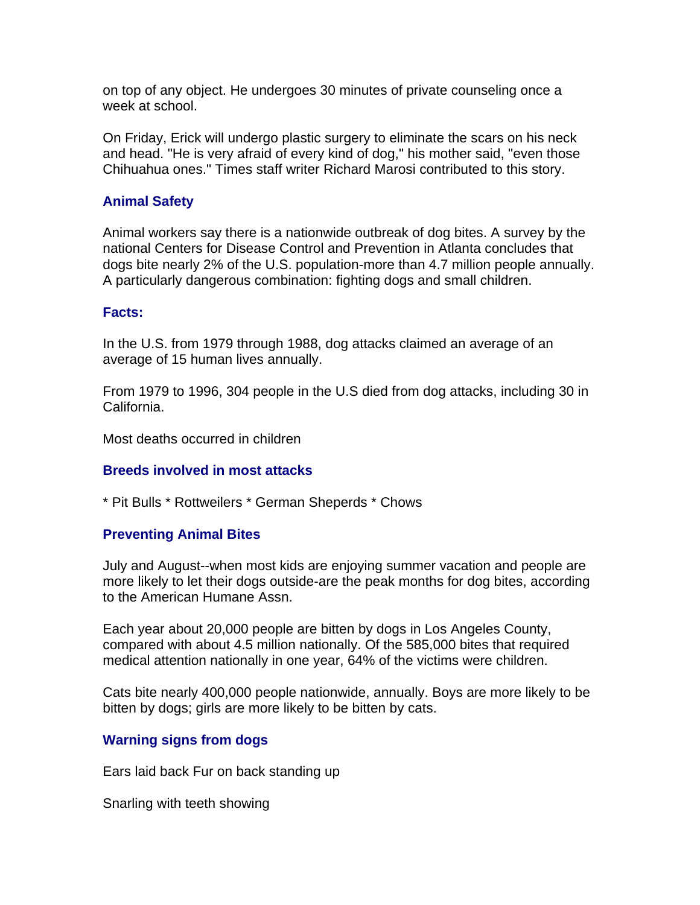on top of any object. He undergoes 30 minutes of private counseling once a week at school.

On Friday, Erick will undergo plastic surgery to eliminate the scars on his neck and head. "He is very afraid of every kind of dog," his mother said, "even those Chihuahua ones." Times staff writer Richard Marosi contributed to this story.

## **Animal Safety**

Animal workers say there is a nationwide outbreak of dog bites. A survey by the national Centers for Disease Control and Prevention in Atlanta concludes that dogs bite nearly 2% of the U.S. population-more than 4.7 million people annually. A particularly dangerous combination: fighting dogs and small children.

#### **Facts:**

In the U.S. from 1979 through 1988, dog attacks claimed an average of an average of 15 human lives annually.

From 1979 to 1996, 304 people in the U.S died from dog attacks, including 30 in California.

Most deaths occurred in children

## **Breeds involved in most attacks**

\* Pit Bulls \* Rottweilers \* German Sheperds \* Chows

## **Preventing Animal Bites**

July and August--when most kids are enjoying summer vacation and people are more likely to let their dogs outside-are the peak months for dog bites, according to the American Humane Assn.

Each year about 20,000 people are bitten by dogs in Los Angeles County, compared with about 4.5 million nationally. Of the 585,000 bites that required medical attention nationally in one year, 64% of the victims were children.

Cats bite nearly 400,000 people nationwide, annually. Boys are more likely to be bitten by dogs; girls are more likely to be bitten by cats.

## **Warning signs from dogs**

Ears laid back Fur on back standing up

Snarling with teeth showing